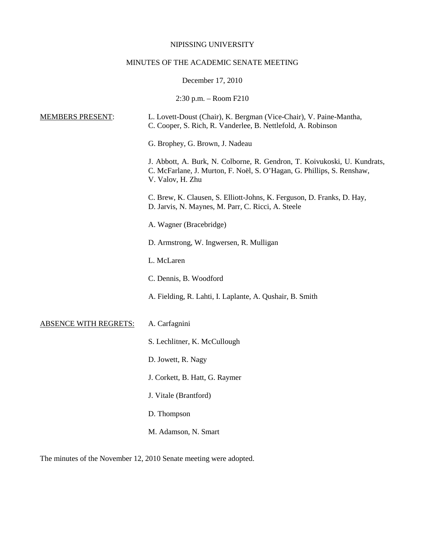### NIPISSING UNIVERSITY

# MINUTES OF THE ACADEMIC SENATE MEETING

## December 17, 2010

2:30 p.m. – Room F210

| <b>MEMBERS PRESENT:</b>      | L. Lovett-Doust (Chair), K. Bergman (Vice-Chair), V. Paine-Mantha,<br>C. Cooper, S. Rich, R. Vanderlee, B. Nettlefold, A. Robinson                                     |
|------------------------------|------------------------------------------------------------------------------------------------------------------------------------------------------------------------|
|                              | G. Brophey, G. Brown, J. Nadeau                                                                                                                                        |
|                              | J. Abbott, A. Burk, N. Colborne, R. Gendron, T. Koivukoski, U. Kundrats,<br>C. McFarlane, J. Murton, F. Noël, S. O'Hagan, G. Phillips, S. Renshaw,<br>V. Valov, H. Zhu |
|                              | C. Brew, K. Clausen, S. Elliott-Johns, K. Ferguson, D. Franks, D. Hay,<br>D. Jarvis, N. Maynes, M. Parr, C. Ricci, A. Steele                                           |
|                              | A. Wagner (Bracebridge)                                                                                                                                                |
|                              | D. Armstrong, W. Ingwersen, R. Mulligan                                                                                                                                |
|                              | L. McLaren                                                                                                                                                             |
|                              | C. Dennis, B. Woodford                                                                                                                                                 |
|                              | A. Fielding, R. Lahti, I. Laplante, A. Qushair, B. Smith                                                                                                               |
| <b>ABSENCE WITH REGRETS:</b> | A. Carfagnini                                                                                                                                                          |
|                              | S. Lechlitner, K. McCullough                                                                                                                                           |
|                              | D. Jowett, R. Nagy                                                                                                                                                     |
|                              | J. Corkett, B. Hatt, G. Raymer                                                                                                                                         |
|                              | J. Vitale (Brantford)                                                                                                                                                  |
|                              | D. Thompson                                                                                                                                                            |
|                              | M. Adamson, N. Smart                                                                                                                                                   |

The minutes of the November 12, 2010 Senate meeting were adopted.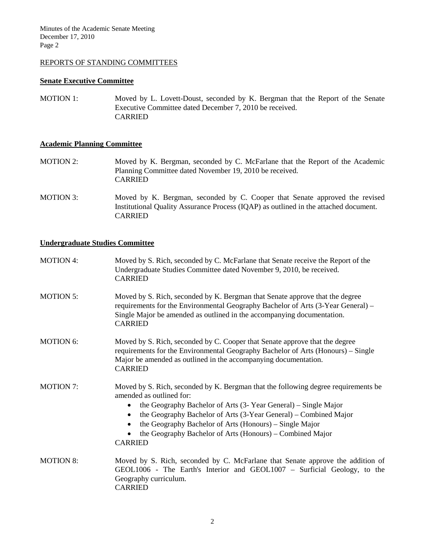### REPORTS OF STANDING COMMITTEES

#### **Senate Executive Committee**

MOTION 1: Moved by L. Lovett-Doust, seconded by K. Bergman that the Report of the Senate Executive Committee dated December 7, 2010 be received. CARRIED

#### **Academic Planning Committee**

- MOTION 2: Moved by K. Bergman, seconded by C. McFarlane that the Report of the Academic Planning Committee dated November 19, 2010 be received. CARRIED
- MOTION 3: Moved by K. Bergman, seconded by C. Cooper that Senate approved the revised Institutional Quality Assurance Process (IQAP) as outlined in the attached document. CARRIED

#### **Undergraduate Studies Committee**

| <b>MOTION 4:</b> | Moved by S. Rich, seconded by C. McFarlane that Senate receive the Report of the<br>Undergraduate Studies Committee dated November 9, 2010, be received.<br><b>CARRIED</b>                                                                                                                                                                                                                                        |
|------------------|-------------------------------------------------------------------------------------------------------------------------------------------------------------------------------------------------------------------------------------------------------------------------------------------------------------------------------------------------------------------------------------------------------------------|
| <b>MOTION 5:</b> | Moved by S. Rich, seconded by K. Bergman that Senate approve that the degree<br>requirements for the Environmental Geography Bachelor of Arts (3-Year General) –<br>Single Major be amended as outlined in the accompanying documentation.<br><b>CARRIED</b>                                                                                                                                                      |
| <b>MOTION 6:</b> | Moved by S. Rich, seconded by C. Cooper that Senate approve that the degree<br>requirements for the Environmental Geography Bachelor of Arts (Honours) – Single<br>Major be amended as outlined in the accompanying documentation.<br><b>CARRIED</b>                                                                                                                                                              |
| <b>MOTION 7:</b> | Moved by S. Rich, seconded by K. Bergman that the following degree requirements be<br>amended as outlined for:<br>the Geography Bachelor of Arts (3- Year General) – Single Major<br>$\bullet$<br>the Geography Bachelor of Arts (3-Year General) – Combined Major<br>٠<br>the Geography Bachelor of Arts (Honours) – Single Major<br>the Geography Bachelor of Arts (Honours) – Combined Major<br><b>CARRIED</b> |
| <b>MOTION 8:</b> | Moved by S. Rich, seconded by C. McFarlane that Senate approve the addition of<br>GEOL1006 - The Earth's Interior and GEOL1007 - Surficial Geology, to the<br>Geography curriculum.<br><b>CARRIED</b>                                                                                                                                                                                                             |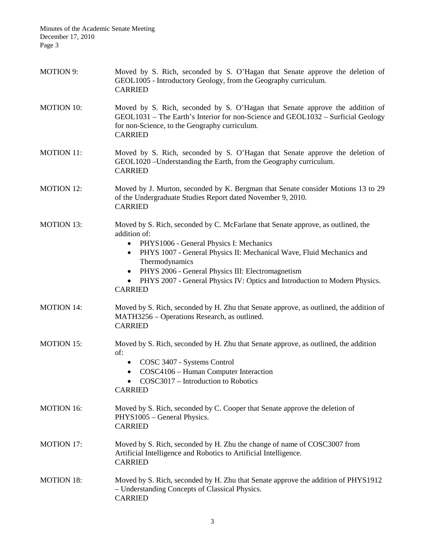| <b>MOTION 9:</b>  | Moved by S. Rich, seconded by S. O'Hagan that Senate approve the deletion of<br>GEOL1005 - Introductory Geology, from the Geography curriculum.<br><b>CARRIED</b>                                                                                                                                                                                                                                                                 |
|-------------------|-----------------------------------------------------------------------------------------------------------------------------------------------------------------------------------------------------------------------------------------------------------------------------------------------------------------------------------------------------------------------------------------------------------------------------------|
| <b>MOTION 10:</b> | Moved by S. Rich, seconded by S. O'Hagan that Senate approve the addition of<br>GEOL1031 – The Earth's Interior for non-Science and GEOL1032 – Surficial Geology<br>for non-Science, to the Geography curriculum.<br><b>CARRIED</b>                                                                                                                                                                                               |
| <b>MOTION 11:</b> | Moved by S. Rich, seconded by S. O'Hagan that Senate approve the deletion of<br>GEOL1020 - Understanding the Earth, from the Geography curriculum.<br><b>CARRIED</b>                                                                                                                                                                                                                                                              |
| <b>MOTION 12:</b> | Moved by J. Murton, seconded by K. Bergman that Senate consider Motions 13 to 29<br>of the Undergraduate Studies Report dated November 9, 2010.<br><b>CARRIED</b>                                                                                                                                                                                                                                                                 |
| <b>MOTION 13:</b> | Moved by S. Rich, seconded by C. McFarlane that Senate approve, as outlined, the<br>addition of:<br>PHYS1006 - General Physics I: Mechanics<br>$\bullet$<br>PHYS 1007 - General Physics II: Mechanical Wave, Fluid Mechanics and<br>$\bullet$<br>Thermodynamics<br>PHYS 2006 - General Physics III: Electromagnetism<br>$\bullet$<br>PHYS 2007 - General Physics IV: Optics and Introduction to Modern Physics.<br><b>CARRIED</b> |
| <b>MOTION 14:</b> | Moved by S. Rich, seconded by H. Zhu that Senate approve, as outlined, the addition of<br>MATH3256 – Operations Research, as outlined.<br><b>CARRIED</b>                                                                                                                                                                                                                                                                          |
| <b>MOTION 15:</b> | Moved by S. Rich, seconded by H. Zhu that Senate approve, as outlined, the addition<br>of:<br>COSC 3407 - Systems Control<br>COSC4106 - Human Computer Interaction<br>$\bullet$<br>COSC3017 - Introduction to Robotics<br><b>CARRIED</b>                                                                                                                                                                                          |
| <b>MOTION 16:</b> | Moved by S. Rich, seconded by C. Cooper that Senate approve the deletion of<br>PHYS1005 - General Physics.<br><b>CARRIED</b>                                                                                                                                                                                                                                                                                                      |
| <b>MOTION 17:</b> | Moved by S. Rich, seconded by H. Zhu the change of name of COSC3007 from<br>Artificial Intelligence and Robotics to Artificial Intelligence.<br><b>CARRIED</b>                                                                                                                                                                                                                                                                    |
| <b>MOTION 18:</b> | Moved by S. Rich, seconded by H. Zhu that Senate approve the addition of PHYS1912<br>- Understanding Concepts of Classical Physics.<br><b>CARRIED</b>                                                                                                                                                                                                                                                                             |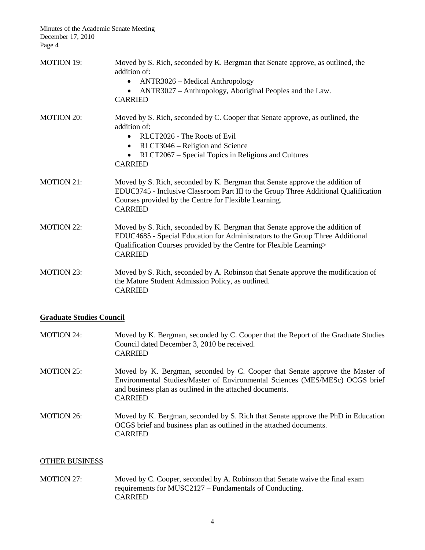| <b>MOTION 19:</b> | Moved by S. Rich, seconded by K. Bergman that Senate approve, as outlined, the<br>addition of:<br>ANTR3026 – Medical Anthropology<br>$\bullet$<br>ANTR3027 – Anthropology, Aboriginal Peoples and the Law.<br>$\bullet$<br><b>CARRIED</b>              |
|-------------------|--------------------------------------------------------------------------------------------------------------------------------------------------------------------------------------------------------------------------------------------------------|
| <b>MOTION 20:</b> | Moved by S. Rich, seconded by C. Cooper that Senate approve, as outlined, the<br>addition of:<br>RLCT2026 - The Roots of Evil<br>$\bullet$                                                                                                             |
|                   | RLCT3046 – Religion and Science<br>$\bullet$<br>RLCT2067 – Special Topics in Religions and Cultures<br><b>CARRIED</b>                                                                                                                                  |
| <b>MOTION 21:</b> | Moved by S. Rich, seconded by K. Bergman that Senate approve the addition of<br>EDUC3745 - Inclusive Classroom Part III to the Group Three Additional Qualification<br>Courses provided by the Centre for Flexible Learning.<br><b>CARRIED</b>         |
| <b>MOTION 22:</b> | Moved by S. Rich, seconded by K. Bergman that Senate approve the addition of<br>EDUC4685 - Special Education for Administrators to the Group Three Additional<br>Qualification Courses provided by the Centre for Flexible Learning><br><b>CARRIED</b> |
| <b>MOTION 23:</b> | Moved by S. Rich, seconded by A. Robinson that Senate approve the modification of<br>the Mature Student Admission Policy, as outlined.<br><b>CARRIED</b>                                                                                               |

## **Graduate Studies Council**

| <b>MOTION 24:</b> | Moved by K. Bergman, seconded by C. Cooper that the Report of the Graduate Studies<br>Council dated December 3, 2010 be received.<br><b>CARRIED</b>                                                                                        |
|-------------------|--------------------------------------------------------------------------------------------------------------------------------------------------------------------------------------------------------------------------------------------|
| <b>MOTION 25:</b> | Moved by K. Bergman, seconded by C. Cooper that Senate approve the Master of<br>Environmental Studies/Master of Environmental Sciences (MES/MESc) OCGS brief<br>and business plan as outlined in the attached documents.<br><b>CARRIED</b> |
| MOTION 26:        | Moved by K. Bergman, seconded by S. Rich that Senate approve the PhD in Education<br>OCGS brief and business plan as outlined in the attached documents.<br><b>CARRIED</b>                                                                 |

### OTHER BUSINESS

MOTION 27: Moved by C. Cooper, seconded by A. Robinson that Senate waive the final exam requirements for MUSC2127 – Fundamentals of Conducting. CARRIED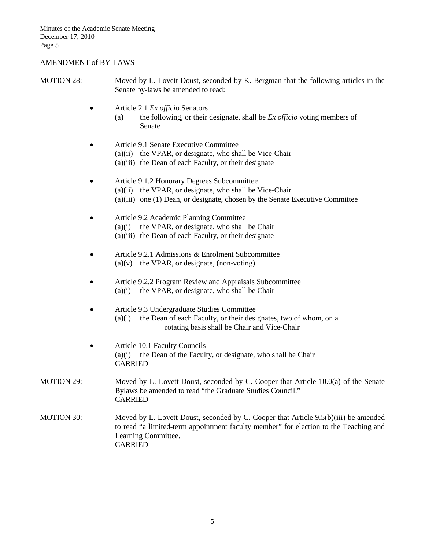# AMENDMENT of BY-LAWS

| <b>MOTION 28:</b> |   | Moved by L. Lovett-Doust, seconded by K. Bergman that the following articles in the<br>Senate by-laws be amended to read:                                                                                            |
|-------------------|---|----------------------------------------------------------------------------------------------------------------------------------------------------------------------------------------------------------------------|
|                   |   | Article 2.1 Ex officio Senators<br>the following, or their designate, shall be $Ex$ officio voting members of<br>(a)<br>Senate                                                                                       |
|                   | ٠ | Article 9.1 Senate Executive Committee<br>(a)(ii) the VPAR, or designate, who shall be Vice-Chair<br>(a)(iii) the Dean of each Faculty, or their designate                                                           |
|                   |   | Article 9.1.2 Honorary Degrees Subcommittee<br>(a)(ii) the VPAR, or designate, who shall be Vice-Chair<br>(a)(iii) one (1) Dean, or designate, chosen by the Senate Executive Committee                              |
|                   |   | Article 9.2 Academic Planning Committee<br>the VPAR, or designate, who shall be Chair<br>(a)(i)<br>(a)(iii) the Dean of each Faculty, or their designate                                                             |
|                   |   | Article 9.2.1 Admissions & Enrolment Subcommittee<br>$(a)(v)$ the VPAR, or designate, (non-voting)                                                                                                                   |
|                   |   | Article 9.2.2 Program Review and Appraisals Subcommittee<br>the VPAR, or designate, who shall be Chair<br>(a)(i)                                                                                                     |
|                   |   | Article 9.3 Undergraduate Studies Committee<br>the Dean of each Faculty, or their designates, two of whom, on a<br>(a)(i)<br>rotating basis shall be Chair and Vice-Chair                                            |
|                   | ٠ | Article 10.1 Faculty Councils<br>the Dean of the Faculty, or designate, who shall be Chair<br>(a)(i)<br><b>CARRIED</b>                                                                                               |
| <b>MOTION 29:</b> |   | Moved by L. Lovett-Doust, seconded by C. Cooper that Article 10.0(a) of the Senate<br>Bylaws be amended to read "the Graduate Studies Council."<br><b>CARRIED</b>                                                    |
| <b>MOTION 30:</b> |   | Moved by L. Lovett-Doust, seconded by C. Cooper that Article 9.5(b)(iii) be amended<br>to read "a limited-term appointment faculty member" for election to the Teaching and<br>Learning Committee.<br><b>CARRIED</b> |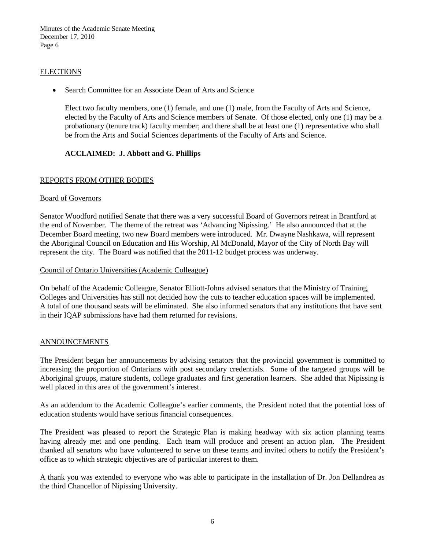#### **ELECTIONS**

• Search Committee for an Associate Dean of Arts and Science

Elect two faculty members, one (1) female, and one (1) male, from the Faculty of Arts and Science, elected by the Faculty of Arts and Science members of Senate. Of those elected, only one (1) may be a probationary (tenure track) faculty member; and there shall be at least one (1) representative who shall be from the Arts and Social Sciences departments of the Faculty of Arts and Science.

### **ACCLAIMED: J. Abbott and G. Phillips**

#### REPORTS FROM OTHER BODIES

#### Board of Governors

Senator Woodford notified Senate that there was a very successful Board of Governors retreat in Brantford at the end of November. The theme of the retreat was 'Advancing Nipissing.' He also announced that at the December Board meeting, two new Board members were introduced. Mr. Dwayne Nashkawa, will represent the Aboriginal Council on Education and His Worship, Al McDonald, Mayor of the City of North Bay will represent the city. The Board was notified that the 2011-12 budget process was underway.

#### Council of Ontario Universities (Academic Colleague)

On behalf of the Academic Colleague, Senator Elliott-Johns advised senators that the Ministry of Training, Colleges and Universities has still not decided how the cuts to teacher education spaces will be implemented. A total of one thousand seats will be eliminated. She also informed senators that any institutions that have sent in their IQAP submissions have had them returned for revisions.

#### ANNOUNCEMENTS

The President began her announcements by advising senators that the provincial government is committed to increasing the proportion of Ontarians with post secondary credentials. Some of the targeted groups will be Aboriginal groups, mature students, college graduates and first generation learners. She added that Nipissing is well placed in this area of the government's interest.

As an addendum to the Academic Colleague's earlier comments, the President noted that the potential loss of education students would have serious financial consequences.

The President was pleased to report the Strategic Plan is making headway with six action planning teams having already met and one pending. Each team will produce and present an action plan. The President thanked all senators who have volunteered to serve on these teams and invited others to notify the President's office as to which strategic objectives are of particular interest to them.

A thank you was extended to everyone who was able to participate in the installation of Dr. Jon Dellandrea as the third Chancellor of Nipissing University.